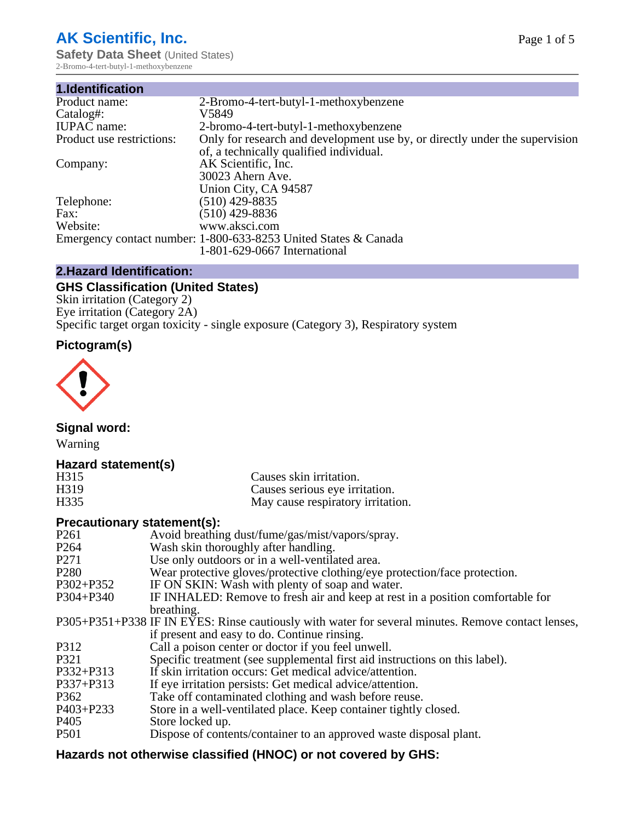# **AK Scientific, Inc.**

**Safety Data Sheet (United States)** 2-Bromo-4-tert-butyl-1-methoxybenzene

| 1.Identification          |                                                                             |
|---------------------------|-----------------------------------------------------------------------------|
| Product name:             | 2-Bromo-4-tert-butyl-1-methoxybenzene                                       |
| Catalog#:                 | V5849                                                                       |
| <b>IUPAC</b> name:        | 2-bromo-4-tert-butyl-1-methoxybenzene                                       |
| Product use restrictions: | Only for research and development use by, or directly under the supervision |
|                           | of, a technically qualified individual.                                     |
| Company:                  | AK Scientific, Inc.                                                         |
|                           | 30023 Ahern Ave.                                                            |
|                           | Union City, CA 94587                                                        |
| Telephone:                | $(510)$ 429-8835                                                            |
| Fax:                      | $(510)$ 429-8836                                                            |
| Website:                  | www.aksci.com                                                               |
|                           | Emergency contact number: 1-800-633-8253 United States & Canada             |
|                           | 1-801-629-0667 International                                                |

# **2.Hazard Identification:**

# **GHS Classification (United States)**

Skin irritation (Category 2) Eye irritation (Category 2A) Specific target organ toxicity - single exposure (Category 3), Respiratory system

# **Pictogram(s)**



**Signal word:**

Warning

# **Hazard statement(s)**

| H <sub>315</sub>  | Causes skin irritation.           |
|-------------------|-----------------------------------|
| H <sub>3</sub> 19 | Causes serious eye irritation.    |
| H335              | May cause respiratory irritation. |

## **Precautionary statement(s):**

| P <sub>261</sub> | Avoid breathing dust/fume/gas/mist/vapors/spray.                                                   |
|------------------|----------------------------------------------------------------------------------------------------|
| P <sub>264</sub> | Wash skin thoroughly after handling.                                                               |
| P <sub>271</sub> | Use only outdoors or in a well-ventilated area.                                                    |
| P <sub>280</sub> | Wear protective gloves/protective clothing/eye protection/face protection.                         |
| P302+P352        | IF ON SKIN: Wash with plenty of soap and water.                                                    |
| $P304 + P340$    | IF INHALED: Remove to fresh air and keep at rest in a position comfortable for                     |
|                  | breathing.                                                                                         |
|                  | P305+P351+P338 IF IN EYES: Rinse cautiously with water for several minutes. Remove contact lenses, |
|                  | if present and easy to do. Continue rinsing.                                                       |
| P312             | Call a poison center or doctor if you feel unwell.                                                 |
| P321             | Specific treatment (see supplemental first aid instructions on this label).                        |
| P332+P313        | If skin irritation occurs: Get medical advice/attention.                                           |
| P337+P313        | If eye irritation persists: Get medical advice/attention.                                          |
| P362             | Take off contaminated clothing and wash before reuse.                                              |
| $P403 + P233$    | Store in a well-ventilated place. Keep container tightly closed.                                   |
| P <sub>405</sub> | Store locked up.                                                                                   |
| P <sub>501</sub> | Dispose of contents/container to an approved waste disposal plant.                                 |
|                  |                                                                                                    |

# **Hazards not otherwise classified (HNOC) or not covered by GHS:**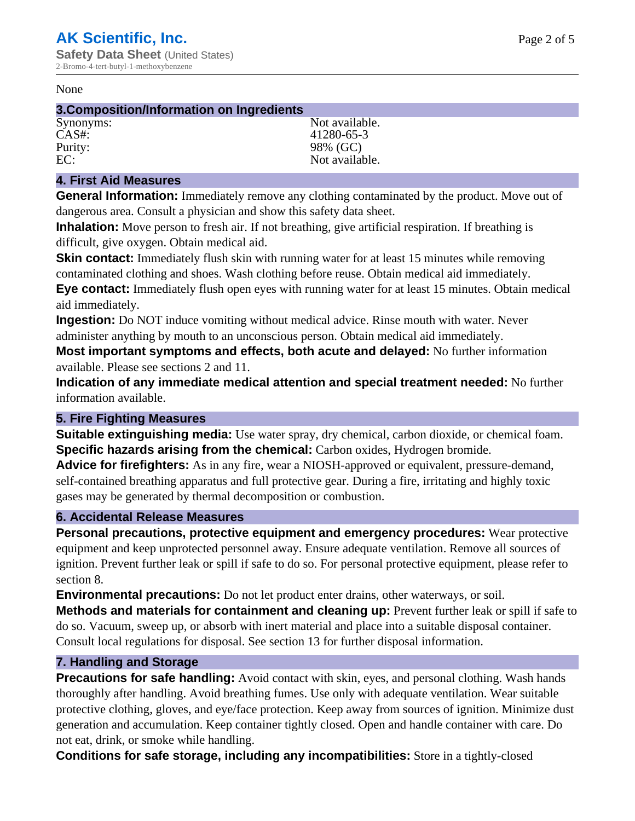#### None

#### **3.Composition/Information on Ingredients**

Synonyms: Not available. CAS#: 41280-65-3 Purity: 98% (GC)<br>EC: Not available with the set of the set of the set of the set of the set of the set of the set of the set of the set of the set of the set of the set of the set of the set of the set of the set of the se Not available.

# **4. First Aid Measures**

**General Information:** Immediately remove any clothing contaminated by the product. Move out of dangerous area. Consult a physician and show this safety data sheet.

**Inhalation:** Move person to fresh air. If not breathing, give artificial respiration. If breathing is difficult, give oxygen. Obtain medical aid.

**Skin contact:** Immediately flush skin with running water for at least 15 minutes while removing contaminated clothing and shoes. Wash clothing before reuse. Obtain medical aid immediately. **Eye contact:** Immediately flush open eyes with running water for at least 15 minutes. Obtain medical aid immediately.

**Ingestion:** Do NOT induce vomiting without medical advice. Rinse mouth with water. Never administer anything by mouth to an unconscious person. Obtain medical aid immediately.

**Most important symptoms and effects, both acute and delayed:** No further information available. Please see sections 2 and 11.

**Indication of any immediate medical attention and special treatment needed:** No further information available.

## **5. Fire Fighting Measures**

**Suitable extinguishing media:** Use water spray, dry chemical, carbon dioxide, or chemical foam. **Specific hazards arising from the chemical:** Carbon oxides, Hydrogen bromide.

**Advice for firefighters:** As in any fire, wear a NIOSH-approved or equivalent, pressure-demand, self-contained breathing apparatus and full protective gear. During a fire, irritating and highly toxic gases may be generated by thermal decomposition or combustion.

## **6. Accidental Release Measures**

**Personal precautions, protective equipment and emergency procedures:** Wear protective equipment and keep unprotected personnel away. Ensure adequate ventilation. Remove all sources of ignition. Prevent further leak or spill if safe to do so. For personal protective equipment, please refer to section 8.

**Environmental precautions:** Do not let product enter drains, other waterways, or soil.

**Methods and materials for containment and cleaning up:** Prevent further leak or spill if safe to do so. Vacuum, sweep up, or absorb with inert material and place into a suitable disposal container. Consult local regulations for disposal. See section 13 for further disposal information.

## **7. Handling and Storage**

**Precautions for safe handling:** Avoid contact with skin, eyes, and personal clothing. Wash hands thoroughly after handling. Avoid breathing fumes. Use only with adequate ventilation. Wear suitable protective clothing, gloves, and eye/face protection. Keep away from sources of ignition. Minimize dust generation and accumulation. Keep container tightly closed. Open and handle container with care. Do not eat, drink, or smoke while handling.

**Conditions for safe storage, including any incompatibilities:** Store in a tightly-closed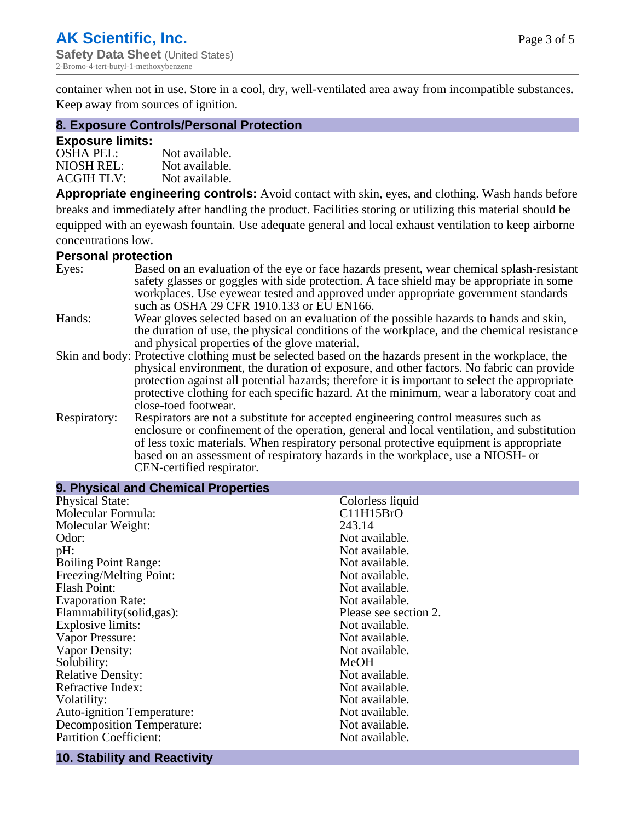container when not in use. Store in a cool, dry, well-ventilated area away from incompatible substances. Keep away from sources of ignition.

#### **8. Exposure Controls/Personal Protection**

#### **Exposure limits:**

| <b>OSHA PEL:</b>  | Not available. |
|-------------------|----------------|
| NIOSH REL:        | Not available. |
| <b>ACGIH TLV:</b> | Not available. |

**Appropriate engineering controls:** Avoid contact with skin, eyes, and clothing. Wash hands before breaks and immediately after handling the product. Facilities storing or utilizing this material should be equipped with an eyewash fountain. Use adequate general and local exhaust ventilation to keep airborne concentrations low.

#### **Personal protection**

| Eyes:        | Based on an evaluation of the eye or face hazards present, wear chemical splash-resistant<br>safety glasses or goggles with side protection. A face shield may be appropriate in some |
|--------------|---------------------------------------------------------------------------------------------------------------------------------------------------------------------------------------|
|              | workplaces. Use eyewear tested and approved under appropriate government standards<br>such as OSHA 29 CFR 1910.133 or EU EN166.                                                       |
| Hands:       | Wear gloves selected based on an evaluation of the possible hazards to hands and skin,                                                                                                |
|              | the duration of use, the physical conditions of the workplace, and the chemical resistance                                                                                            |
|              | and physical properties of the glove material.                                                                                                                                        |
|              | Skin and body: Protective clothing must be selected based on the hazards present in the workplace, the                                                                                |
|              | physical environment, the duration of exposure, and other factors. No fabric can provide                                                                                              |
|              | protection against all potential hazards; therefore it is important to select the appropriate                                                                                         |
|              | protective clothing for each specific hazard. At the minimum, wear a laboratory coat and                                                                                              |
|              | close-toed footwear.                                                                                                                                                                  |
| Respiratory: | Respirators are not a substitute for accepted engineering control measures such as<br>enclosure or confinement of the operation, general and local ventilation, and substitution      |
|              | of less toxic materials. When respiratory personal protective equipment is appropriate                                                                                                |
|              | based on an assessment of respiratory hazards in the workplace, use a NIOSH- or                                                                                                       |
|              | CEN-certified respirator.                                                                                                                                                             |

| 9. Physical and Chemical Properties |                       |  |  |
|-------------------------------------|-----------------------|--|--|
| <b>Physical State:</b>              | Colorless liquid      |  |  |
| Molecular Formula:                  | C11H15BrO             |  |  |
| Molecular Weight:                   | 243.14                |  |  |
| Odor:                               | Not available.        |  |  |
| pH:                                 | Not available.        |  |  |
| <b>Boiling Point Range:</b>         | Not available.        |  |  |
| Freezing/Melting Point:             | Not available.        |  |  |
| <b>Flash Point:</b>                 | Not available.        |  |  |
| <b>Evaporation Rate:</b>            | Not available.        |  |  |
| Flammability(solid,gas):            | Please see section 2. |  |  |
| Explosive limits:                   | Not available.        |  |  |
| Vapor Pressure:                     | Not available.        |  |  |
| Vapor Density:                      | Not available.        |  |  |
| Solubility:                         | MeOH                  |  |  |
| <b>Relative Density:</b>            | Not available.        |  |  |
| Refractive Index:                   | Not available.        |  |  |
| Volatility:                         | Not available.        |  |  |
| <b>Auto-ignition Temperature:</b>   | Not available.        |  |  |
| <b>Decomposition Temperature:</b>   | Not available.        |  |  |
| <b>Partition Coefficient:</b>       | Not available.        |  |  |
|                                     |                       |  |  |

# **10. Stability and Reactivity**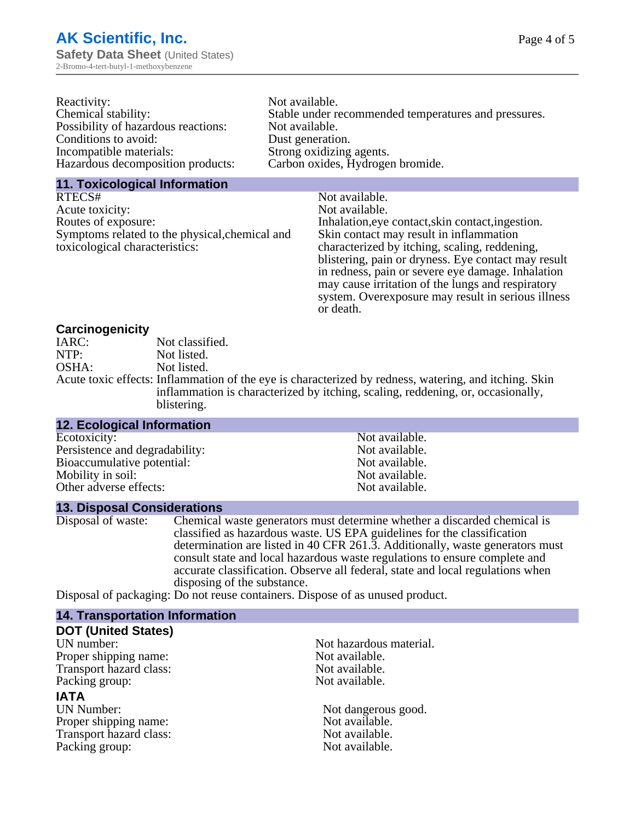| Reactivity:                         | Not available.                                       |
|-------------------------------------|------------------------------------------------------|
| Chemical stability:                 | Stable under recommended temperatures and pressures. |
| Possibility of hazardous reactions: | Not available.                                       |
| Conditions to avoid:                | Dust generation.                                     |
| Incompatible materials:             | Strong oxidizing agents.                             |
| Hazardous decomposition products:   | Carbon oxides, Hydrogen bromide.                     |
|                                     |                                                      |

#### **11. Toxicological Information**

| RTECS#                                         | Not available.                                      |
|------------------------------------------------|-----------------------------------------------------|
| Acute toxicity:                                | Not available.                                      |
| Routes of exposure:                            | Inhalation, eye contact, skin contact, ingestion.   |
| Symptoms related to the physical, chemical and | Skin contact may result in inflammation             |
| toxicological characteristics:                 | characterized by itching, scaling, reddening,       |
|                                                | blistering, pain or dryness. Eye contact may result |
|                                                | in redness, pain or severe eye damage. Inhalation   |
|                                                | may cause irritation of the lungs and respiratory   |
|                                                | system. Overexposure may result in serious illness  |

or death.

#### **Carcinogenicity**

| IARC: | Not classified.                                                                                      |
|-------|------------------------------------------------------------------------------------------------------|
| NTP:  | Not listed.                                                                                          |
| OSHA: | Not listed.                                                                                          |
|       | Acute toxic effects: Inflammation of the eye is characterized by redness, watering, and itching. Ski |
|       | inflammation is characterized by itching, scaling, reddening, or, occasionally,                      |
|       | blistering.                                                                                          |

| 12. Ecological Information     |                |
|--------------------------------|----------------|
| Ecotoxicity:                   | Not available. |
| Persistence and degradability: | Not available. |
| Bioaccumulative potential:     | Not available. |
| Mobility in soil:              | Not available. |
| Other adverse effects:         | Not available. |

#### **13. Disposal Considerations**

Disposal of waste: Chemical waste generators must determine whether a discarded chemical is classified as hazardous waste. US EPA guidelines for the classification determination are listed in 40 CFR 261.3. Additionally, waste generators must consult state and local hazardous waste regulations to ensure complete and accurate classification. Observe all federal, state and local regulations when disposing of the substance.

Disposal of packaging: Do not reuse containers. Dispose of as unused product.

| <b>14. Transportation Information</b> |                         |  |
|---------------------------------------|-------------------------|--|
| <b>DOT (United States)</b>            |                         |  |
| UN number:                            | Not hazardous material. |  |
| Proper shipping name:                 | Not available.          |  |
| Transport hazard class:               | Not available.          |  |
| Packing group:                        | Not available.          |  |
| <b>IATA</b>                           |                         |  |
| <b>UN Number:</b>                     | Not dangerous good.     |  |
| Proper shipping name:                 | Not available.          |  |
| Transport hazard class:               | Not available.          |  |
| Packing group:                        | Not available.          |  |
|                                       |                         |  |